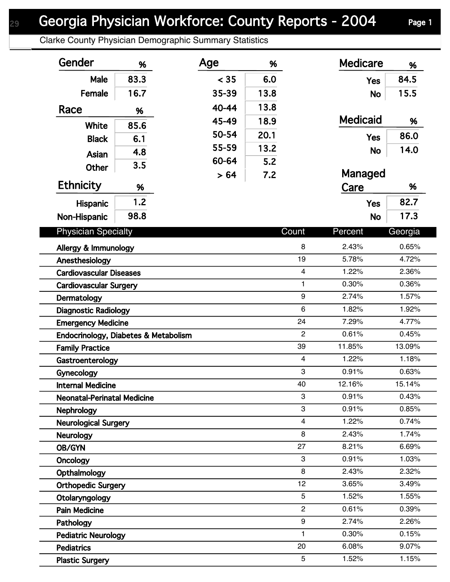## Georgia Physician Workforce: County Reports - 2004 Page 1

Clarke County Physician Demographic Summary Statistics

| Gender                               | %    | Age   | %    |                         | <b>Medicare</b> | %       |
|--------------------------------------|------|-------|------|-------------------------|-----------------|---------|
| Male                                 | 83.3 | < 35  | 6.0  |                         | <b>Yes</b>      | 84.5    |
| Female                               | 16.7 | 35-39 | 13.8 |                         | <b>No</b>       | 15.5    |
| Race                                 | %    | 40-44 | 13.8 |                         |                 |         |
|                                      |      | 45-49 | 18.9 |                         | <b>Medicaid</b> | %       |
| White                                | 85.6 | 50-54 | 20.1 |                         |                 | 86.0    |
| <b>Black</b>                         | 6.1  | 55-59 | 13.2 |                         | <b>Yes</b>      | 14.0    |
| Asian                                | 4.8  | 60-64 | 5.2  |                         | <b>No</b>       |         |
| Other                                | 3.5  | > 64  | 7.2  |                         | Managed         |         |
| <b>Ethnicity</b>                     | %    |       |      |                         | Care            | %       |
| <b>Hispanic</b>                      | 1.2  |       |      |                         | <b>Yes</b>      | 82.7    |
| Non-Hispanic                         | 98.8 |       |      |                         | <b>No</b>       | 17.3    |
|                                      |      |       |      |                         |                 |         |
| <b>Physician Specialty</b>           |      |       |      | Count                   | Percent         | Georgia |
| Allergy & Immunology                 |      |       |      | 8                       | 2.43%           | 0.65%   |
| Anesthesiology                       |      |       |      | 19                      | 5.78%           | 4.72%   |
| <b>Cardiovascular Diseases</b>       |      |       |      | $\overline{\mathbf{4}}$ | 1.22%           | 2.36%   |
| <b>Cardiovascular Surgery</b>        |      |       |      | $\mathbf{1}$            | 0.30%           | 0.36%   |
| Dermatology                          |      |       |      | 9                       | 2.74%           | 1.57%   |
| <b>Diagnostic Radiology</b>          |      |       |      | 6                       | 1.82%           | 1.92%   |
| <b>Emergency Medicine</b>            |      |       |      | 24                      | 7.29%           | 4.77%   |
| Endocrinology, Diabetes & Metabolism |      |       |      | $\overline{2}$          | 0.61%           | 0.45%   |
| <b>Family Practice</b>               |      |       |      | 39                      | 11.85%          | 13.09%  |
| Gastroenterology                     |      |       |      | $\overline{4}$          | 1.22%           | 1.18%   |
| Gynecology                           |      |       |      | 3                       | 0.91%           | 0.63%   |
| <b>Internal Medicine</b>             |      |       |      | 40                      | 12.16%          | 15.14%  |
| <b>Neonatal-Perinatal Medicine</b>   |      |       |      | 3                       | 0.91%           | 0.43%   |
| <b>Nephrology</b>                    |      |       |      | 3                       | 0.91%           | 0.85%   |
| <b>Neurological Surgery</b>          |      |       |      | $\overline{4}$          | 1.22%           | 0.74%   |
| <b>Neurology</b>                     |      |       |      | 8                       | 2.43%           | 1.74%   |
| OB/GYN                               |      |       |      | 27                      | 8.21%           | 6.69%   |
| Oncology                             |      |       |      | 3                       | 0.91%           | 1.03%   |
| Opthalmology                         |      |       |      | 8                       | 2.43%           | 2.32%   |
| <b>Orthopedic Surgery</b>            |      |       |      | 12                      | 3.65%           | 3.49%   |
| Otolaryngology                       |      |       |      | 5                       | 1.52%           | 1.55%   |
| <b>Pain Medicine</b>                 |      |       |      | $\overline{2}$          | 0.61%           | 0.39%   |
| Pathology                            |      |       |      | 9                       | 2.74%           | 2.26%   |
| <b>Pediatric Neurology</b>           |      |       |      | $\mathbf{1}$            | 0.30%           | 0.15%   |
| <b>Pediatrics</b>                    |      |       |      | 20                      | 6.08%           | 9.07%   |
| <b>Plastic Surgery</b>               |      |       |      | 5                       | 1.52%           | 1.15%   |